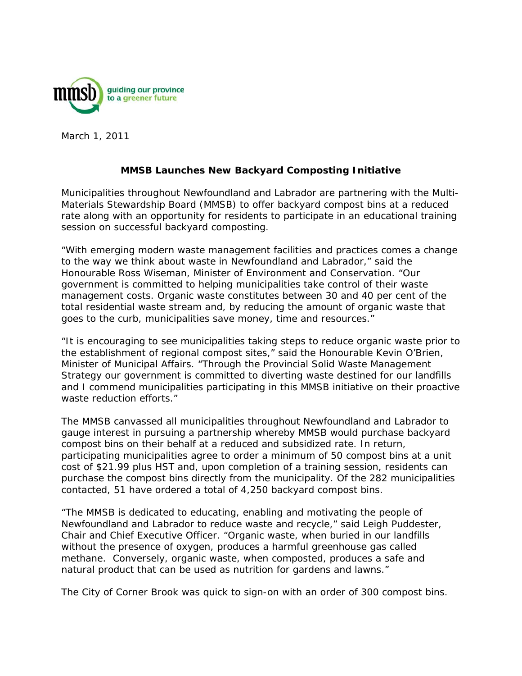

March 1, 2011

## **MMSB Launches New Backyard Composting Initiative**

Municipalities throughout Newfoundland and Labrador are partnering with the Multi-Materials Stewardship Board (MMSB) to offer backyard compost bins at a reduced rate along with an opportunity for residents to participate in an educational training session on successful backyard composting.

"With emerging modern waste management facilities and practices comes a change to the way we think about waste in Newfoundland and Labrador," said the Honourable Ross Wiseman, Minister of Environment and Conservation. "Our government is committed to helping municipalities take control of their waste management costs. Organic waste constitutes between 30 and 40 per cent of the total residential waste stream and, by reducing the amount of organic waste that goes to the curb, municipalities save money, time and resources."

"It is encouraging to see municipalities taking steps to reduce organic waste prior to the establishment of regional compost sites," said the Honourable Kevin O'Brien, Minister of Municipal Affairs. "Through the Provincial Solid Waste Management Strategy our government is committed to diverting waste destined for our landfills and I commend municipalities participating in this MMSB initiative on their proactive waste reduction efforts."

The MMSB canvassed all municipalities throughout Newfoundland and Labrador to gauge interest in pursuing a partnership whereby MMSB would purchase backyard compost bins on their behalf at a reduced and subsidized rate. In return, participating municipalities agree to order a minimum of 50 compost bins at a unit cost of \$21.99 plus HST and, upon completion of a training session, residents can purchase the compost bins directly from the municipality. Of the 282 municipalities contacted, 51 have ordered a total of 4,250 backyard compost bins.

"The MMSB is dedicated to educating, enabling and motivating the people of Newfoundland and Labrador to reduce waste and recycle," said Leigh Puddester, Chair and Chief Executive Officer. "Organic waste, when buried in our landfills without the presence of oxygen, produces a harmful greenhouse gas called methane. Conversely, organic waste, when composted, produces a safe and natural product that can be used as nutrition for gardens and lawns."

The City of Corner Brook was quick to sign-on with an order of 300 compost bins.